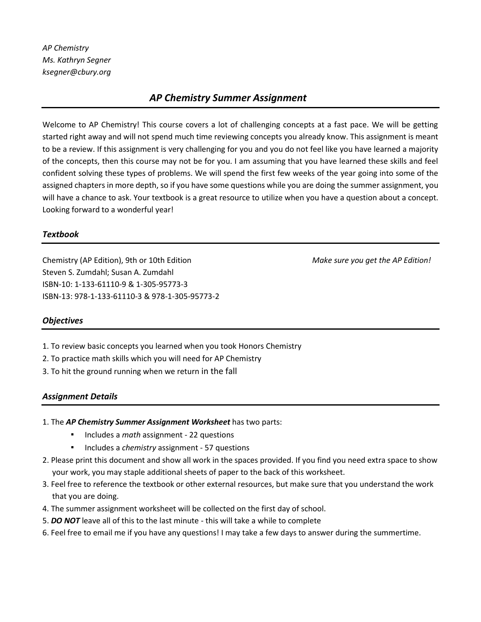# *AP Chemistry Summer Assignment*

Welcome to AP Chemistry! This course covers a lot of challenging concepts at a fast pace. We will be getting started right away and will not spend much time reviewing concepts you already know. This assignment is meant to be a review. If this assignment is very challenging for you and you do not feel like you have learned a majority of the concepts, then this course may not be for you. I am assuming that you have learned these skills and feel confident solving these types of problems. We will spend the first few weeks of the year going into some of the assigned chapters in more depth, so if you have some questions while you are doing the summer assignment, you will have a chance to ask. Your textbook is a great resource to utilize when you have a question about a concept. Looking forward to a wonderful year!

## *Textbook*

Chemistry (AP Edition), 9th or 10th Edition *Make sure you get the AP Edition!*  Steven S. Zumdahl; Susan A. Zumdahl ISBN-10: 1-133-61110-9 & 1-305-95773-3 ISBN-13: 978-1-133-61110-3 & 978-1-305-95773-2

## *Objectives*

- 1. To review basic concepts you learned when you took Honors Chemistry
- 2. To practice math skills which you will need for AP Chemistry
- 3. To hit the ground running when we return in the fall

### *Assignment Details*

- 1. The *AP Chemistry Summer Assignment Worksheet* has two parts:
	- Includes a *math* assignment 22 questions
	- Includes a *chemistry* assignment 57 questions
- 2. Please print this document and show all work in the spaces provided. If you find you need extra space to show your work, you may staple additional sheets of paper to the back of this worksheet.
- 3. Feel free to reference the textbook or other external resources, but make sure that you understand the work that you are doing.
- 4. The summer assignment worksheet will be collected on the first day of school.
- 5. *DO NOT* leave all of this to the last minute this will take a while to complete
- 6. Feel free to email me if you have any questions! I may take a few days to answer during the summertime.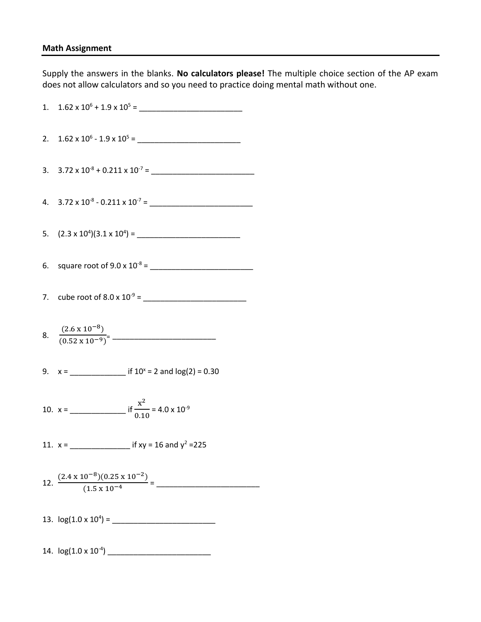## **Math Assignment**

Supply the answers in the blanks. **No calculators please!** The multiple choice section of the AP exam does not allow calculators and so you need to practice doing mental math without one.

| 8. $\frac{(2.6 \times 10^{-8})}{(0.52 \times 10^{-9})^2}$                      |
|--------------------------------------------------------------------------------|
|                                                                                |
|                                                                                |
|                                                                                |
| 12. $\frac{(2.4 \times 10^{-8})(0.25 \times 10^{-2})}{(1.5 \times 10^{-4})} =$ |
|                                                                                |
|                                                                                |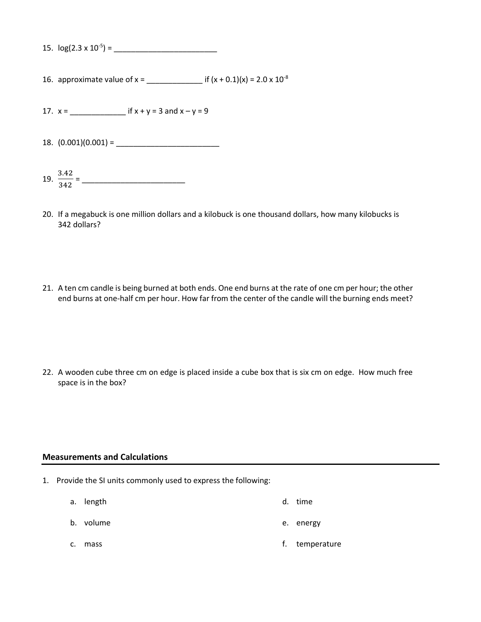| 15. $log(2.3 \times 10^{-5})$ = |  |
|---------------------------------|--|
|---------------------------------|--|

16. approximate value of  $x =$  \_\_\_\_\_\_\_\_\_\_\_\_\_\_\_\_\_\_\_\_\_\_ if  $(x + 0.1)(x) = 2.0 \times 10^{-8}$ 

17. x = \_\_\_\_\_\_\_\_\_\_\_\_\_ if x + y = 3 and x – y = 9

18. (0.001)(0.001) = \_\_\_\_\_\_\_\_\_\_\_\_\_\_\_\_\_\_\_\_\_\_\_\_

- 19.  $\frac{3.42}{2.42}$ 342 = \_\_\_\_\_\_\_\_\_\_\_\_\_\_\_\_\_\_\_\_\_\_\_\_
- 20. If a megabuck is one million dollars and a kilobuck is one thousand dollars, how many kilobucks is 342 dollars?
- 21. A ten cm candle is being burned at both ends. One end burns at the rate of one cm per hour; the other end burns at one-half cm per hour. How far from the center of the candle will the burning ends meet?

22. A wooden cube three cm on edge is placed inside a cube box that is six cm on edge. How much free space is in the box?

#### **Measurements and Calculations**

- 1. Provide the SI units commonly used to express the following:
	- a. length d. time
	- b. volume e. energy
	- c. mass f. temperature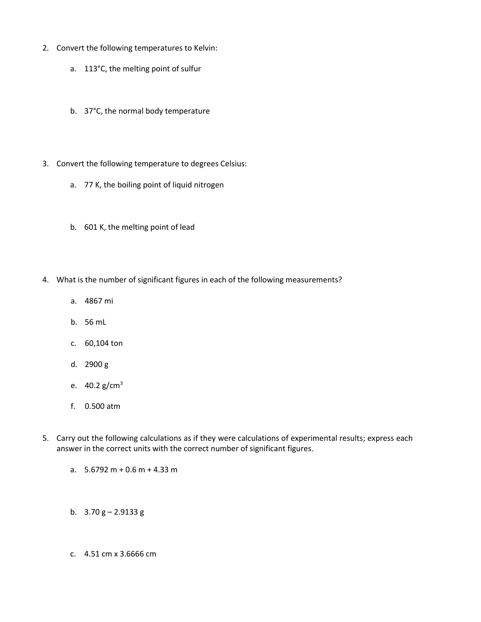- 2. Convert the following temperatures to Kelvin:
	- a. 113°C, the melting point of sulfur
	- b. 37°C, the normal body temperature
- 3. Convert the following temperature to degrees Celsius:
	- a. 77 K, the boiling point of liquid nitrogen
	- b. 601 K, the melting point of lead
- 4. What is the number of significant figures in each of the following measurements?
	- a. 4867 mi
	- b. 56 mL
	- c. 60,104 ton
	- d. 2900 g
	- e.  $40.2$  g/cm<sup>3</sup>
	- f. 0.500 atm
- 5. Carry out the following calculations as if they were calculations of experimental results; express each answer in the correct units with the correct number of significant figures.
	- a.  $5.6792 \text{ m} + 0.6 \text{ m} + 4.33 \text{ m}$
	- b.  $3.70 \text{ g} 2.9133 \text{ g}$
	- c. 4.51 cm x 3.6666 cm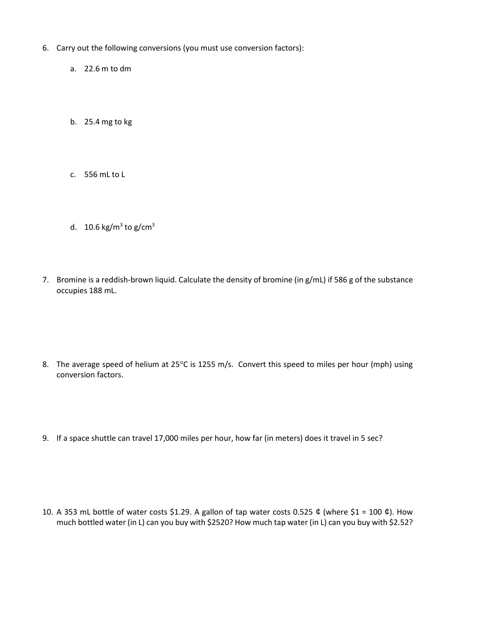- 6. Carry out the following conversions (you must use conversion factors):
	- a. 22.6 m to dm
	- b. 25.4 mg to kg
	- c. 556 mL to L
	- d.  $10.6$  kg/m<sup>3</sup> to g/cm<sup>3</sup>
- 7. Bromine is a reddish-brown liquid. Calculate the density of bromine (in g/mL) if 586 g of the substance occupies 188 mL.

- 8. The average speed of helium at 25°C is 1255 m/s. Convert this speed to miles per hour (mph) using conversion factors.
- 9. If a space shuttle can travel 17,000 miles per hour, how far (in meters) does it travel in 5 sec?

10. A 353 mL bottle of water costs \$1.29. A gallon of tap water costs 0.525  $\phi$  (where \$1 = 100  $\phi$ ). How much bottled water (in L) can you buy with \$2520? How much tap water (in L) can you buy with \$2.52?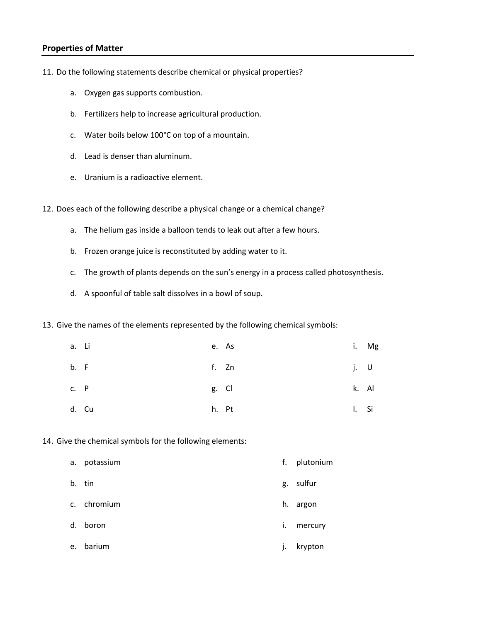### **Properties of Matter**

- 11. Do the following statements describe chemical or physical properties?
	- a. Oxygen gas supports combustion.
	- b. Fertilizers help to increase agricultural production.
	- c. Water boils below 100°C on top of a mountain.
	- d. Lead is denser than aluminum.
	- e. Uranium is a radioactive element.
- 12. Does each of the following describe a physical change or a chemical change?
	- a. The helium gas inside a balloon tends to leak out after a few hours.
	- b. Frozen orange juice is reconstituted by adding water to it.
	- c. The growth of plants depends on the sun's energy in a process called photosynthesis.
	- d. A spoonful of table salt dissolves in a bowl of soup.
- 13. Give the names of the elements represented by the following chemical symbols:

| a. Li |       | e. As |              | i. Mg |
|-------|-------|-------|--------------|-------|
| b. F  |       | f. Zn |              | j. U  |
| c. P  |       | g. Cl |              | k. Al |
|       | d. Cu | h. Pt | $\mathsf{L}$ | Si    |

14. Give the chemical symbols for the following elements:

| а. | potassium   | f.           | plutonium |
|----|-------------|--------------|-----------|
|    | b. tin      |              | g. sulfur |
|    | c. chromium |              | h. argon  |
| d. | boron       | i.           | mercury   |
| e. | barium      | $\mathsf{L}$ | krypton   |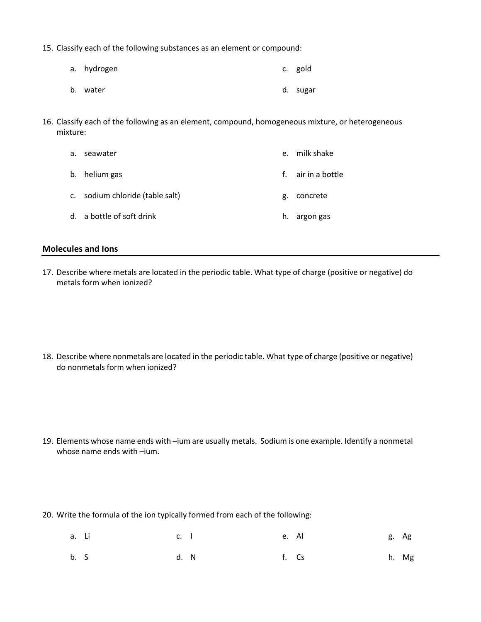- 15. Classify each of the following substances as an element or compound:
	- a. hydrogen b. water c. gold d. sugar
- 16. Classify each of the following as an element, compound, homogeneous mixture, or heterogeneous mixture:

| a. | seawater                        | $e_{1}$ | milk shake         |
|----|---------------------------------|---------|--------------------|
|    | b. helium gas                   |         | f. air in a bottle |
|    | c. sodium chloride (table salt) | g.      | concrete           |
|    | d. a bottle of soft drink       | h.      | argon gas          |

### **Molecules and Ions**

17. Describe where metals are located in the periodic table. What type of charge (positive or negative) do metals form when ionized?

18. Describe where nonmetals are located in the periodic table. What type of charge (positive or negative) do nonmetals form when ionized?

- 19. Elements whose name ends with –ium are usually metals. Sodium is one example. Identify a nonmetal whose name ends with –ium.
- 20. Write the formula of the ion typically formed from each of the following:
	- a. Li c. I e. Al g. Ag
	- b. S d. N f. Cs h. Mg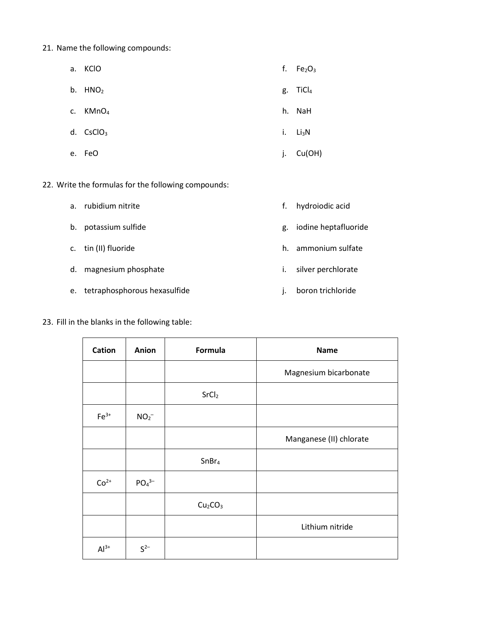- 21. Name the following compounds:
	- a. KClO b.  $HNO<sub>2</sub>$ f.  $Fe<sub>2</sub>O<sub>3</sub>$ g. TiCl<sup>4</sup>
	- c. KMnO<sup>4</sup> d. CsClO<sub>3</sub> h. NaH i. Li<sub>3</sub>N
	- e. FeO j. Cu(OH)
- 22. Write the formulas for the following compounds:
	- a. rubidium nitrite
	- b. potassium sulfide
	- c. tin (II) fluoride
	- d. magnesium phosphate
	- e. tetraphosphorous hexasulfide
- 23. Fill in the blanks in the following table:
- f. hydroiodic acid
- g. iodine heptafluoride
- h. ammonium sulfate
- i. silver perchlorate
- j. boron trichloride

| <b>Cation</b> | Anion                         | Formula                         | <b>Name</b>             |
|---------------|-------------------------------|---------------------------------|-------------------------|
|               |                               |                                 | Magnesium bicarbonate   |
|               |                               | SrCl <sub>2</sub>               |                         |
| $Fe3+$        | $NO2-$                        |                                 |                         |
|               |                               |                                 | Manganese (II) chlorate |
|               |                               | SnBr <sub>4</sub>               |                         |
| $Co2+$        | PO <sub>4</sub> <sup>3–</sup> |                                 |                         |
|               |                               | Cu <sub>2</sub> CO <sub>3</sub> |                         |
|               |                               |                                 | Lithium nitride         |
| $Al3+$        | $S^{2-}$                      |                                 |                         |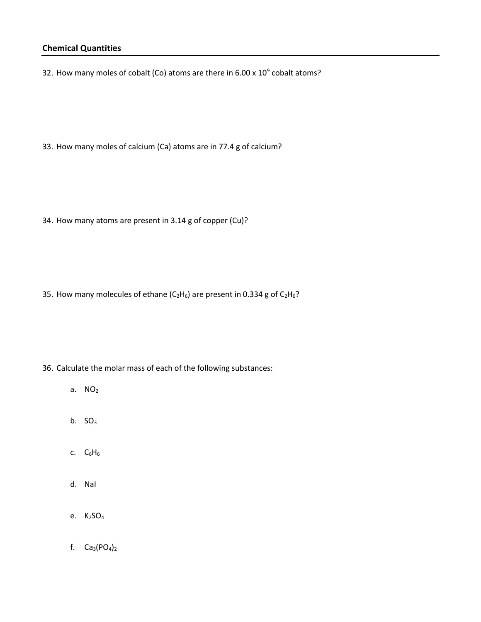## **Chemical Quantities**

32. How many moles of cobalt (Co) atoms are there in 6.00 x  $10^9$  cobalt atoms?

33. How many moles of calcium (Ca) atoms are in 77.4 g of calcium?

34. How many atoms are present in 3.14 g of copper (Cu)?

35. How many molecules of ethane ( $C_2H_6$ ) are present in 0.334 g of  $C_2H_6$ ?

- 36. Calculate the molar mass of each of the following substances:
	- a. NO<sub>2</sub>
	- b.  $SO<sub>3</sub>$
	- c.  $C_6H_6$
	- d. NaI
	- e. K2SO<sup>4</sup>
	- f.  $Ca_3(PO_4)_2$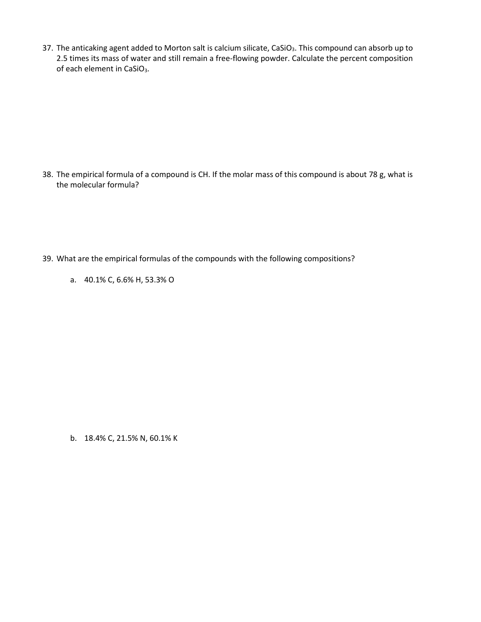37. The anticaking agent added to Morton salt is calcium silicate, CaSiO<sub>3</sub>. This compound can absorb up to 2.5 times its mass of water and still remain a free-flowing powder. Calculate the percent composition of each element in CaSiO<sub>3</sub>.

38. The empirical formula of a compound is CH. If the molar mass of this compound is about 78 g, what is the molecular formula?

- 39. What are the empirical formulas of the compounds with the following compositions?
	- a. 40.1% C, 6.6% H, 53.3% O

b. 18.4% C, 21.5% N, 60.1% K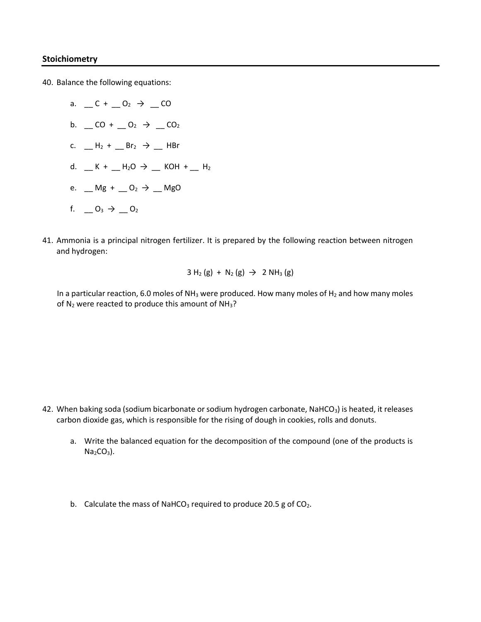### **Stoichiometry**

40. Balance the following equations:

- a.  $C + 0_2 \rightarrow C$ b.  $\_$  CO +  $\_$  O<sub>2</sub>  $\rightarrow$   $\_$  CO<sub>2</sub> c.  $H_2 + I_3 + I_4 = Br_2 \rightarrow I_4$  HBr d.  $K + 1/20 \rightarrow 1$  KOH +  $1/1/2$ e.  $Mg + 0_2 \rightarrow Mg$ f.  $\_ 0_3 \_ 0_2$
- 41. Ammonia is a principal nitrogen fertilizer. It is prepared by the following reaction between nitrogen and hydrogen:

$$
3 H_2(g) + N_2(g) \rightarrow 2 NH_3(g)
$$

In a particular reaction, 6.0 moles of  $NH<sub>3</sub>$  were produced. How many moles of  $H<sub>2</sub>$  and how many moles of  $N_2$  were reacted to produce this amount of  $NH_3$ ?

- 42. When baking soda (sodium bicarbonate or sodium hydrogen carbonate, NaHCO<sub>3</sub>) is heated, it releases carbon dioxide gas, which is responsible for the rising of dough in cookies, rolls and donuts.
	- a. Write the balanced equation for the decomposition of the compound (one of the products is  $Na<sub>2</sub>CO<sub>3</sub>$ ).
	- b. Calculate the mass of NaHCO<sub>3</sub> required to produce 20.5 g of CO<sub>2</sub>.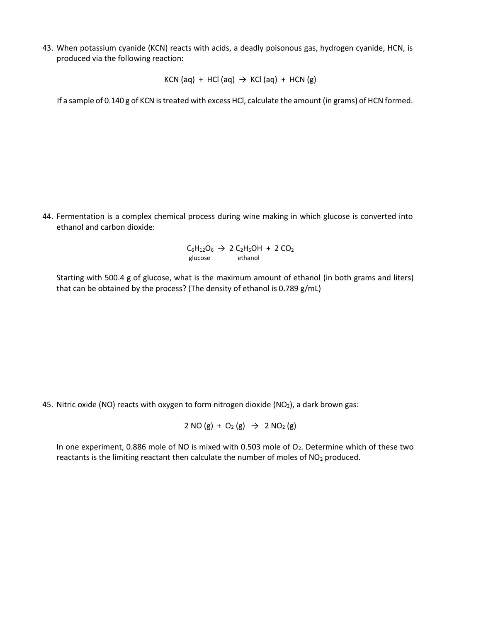43. When potassium cyanide (KCN) reacts with acids, a deadly poisonous gas, hydrogen cyanide, HCN, is produced via the following reaction:

KCN (aq) + HCl (aq)  $\rightarrow$  KCl (aq) + HCN (g)

If a sample of 0.140 g of KCN is treated with excess HCl, calculate the amount (in grams) of HCN formed.

44. Fermentation is a complex chemical process during wine making in which glucose is converted into ethanol and carbon dioxide:

> $C_6H_{12}O_6 \rightarrow 2 C_2H_5OH + 2 CO_2$ glucose ethanol

Starting with 500.4 g of glucose, what is the maximum amount of ethanol (in both grams and liters) that can be obtained by the process? (The density of ethanol is 0.789 g/mL)

45. Nitric oxide (NO) reacts with oxygen to form nitrogen dioxide (NO2), a dark brown gas:

2 NO (g) + O<sub>2</sub> (g)  $\rightarrow$  2 NO<sub>2</sub> (g)

In one experiment, 0.886 mole of NO is mixed with 0.503 mole of  $O<sub>2</sub>$ . Determine which of these two reactants is the limiting reactant then calculate the number of moles of  $NO<sub>2</sub>$  produced.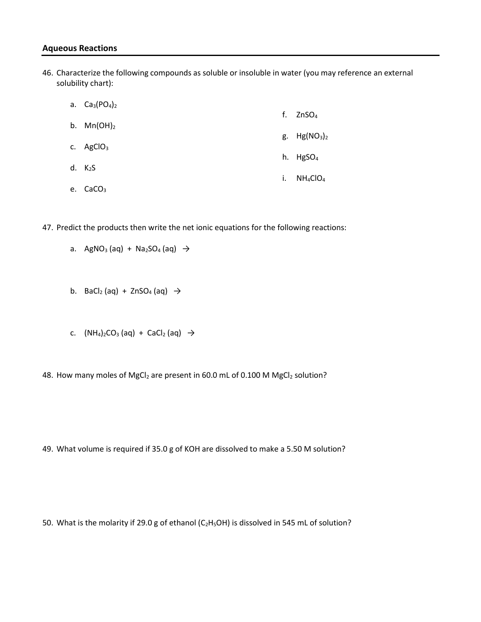### **Aqueous Reactions**

46. Characterize the following compounds as soluble or insoluble in water (you may reference an external solubility chart):

|    | a. $Ca_3(PO_4)_2$   |    |               |
|----|---------------------|----|---------------|
|    |                     |    | f. $ZnSO4$    |
|    | b. $Mn(OH)_2$       |    | g. $Hg(NO3)2$ |
|    | c. $AgClO3$         |    |               |
|    |                     |    | h. $HgSO4$    |
|    | d. K <sub>2</sub> S | i. | $NH_4ClO_4$   |
| e. | CaCO <sub>3</sub>   |    |               |

47. Predict the products then write the net ionic equations for the following reactions:

a. AgNO<sub>3</sub> (aq) + Na<sub>2</sub>SO<sub>4</sub> (aq) 
$$
\rightarrow
$$

- b. BaCl<sub>2</sub> (aq) + ZnSO<sub>4</sub> (aq)  $\rightarrow$
- c.  $(NH_4)_2CO_3$  (aq) + CaCl<sub>2</sub> (aq)  $\rightarrow$
- 48. How many moles of MgCl<sub>2</sub> are present in 60.0 mL of 0.100 M MgCl<sub>2</sub> solution?

49. What volume is required if 35.0 g of KOH are dissolved to make a 5.50 M solution?

50. What is the molarity if 29.0 g of ethanol (C<sub>2</sub>H<sub>5</sub>OH) is dissolved in 545 mL of solution?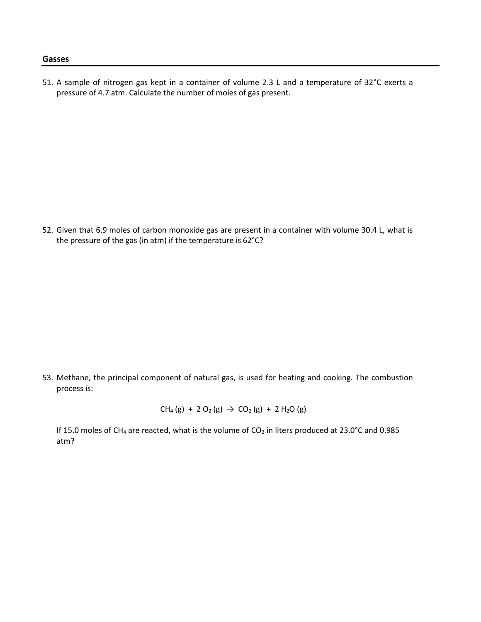#### **Gasses**

51. A sample of nitrogen gas kept in a container of volume 2.3 L and a temperature of 32°C exerts a pressure of 4.7 atm. Calculate the number of moles of gas present.

52. Given that 6.9 moles of carbon monoxide gas are present in a container with volume 30.4 L, what is the pressure of the gas (in atm) if the temperature is 62°C?

53. Methane, the principal component of natural gas, is used for heating and cooking. The combustion process is:

 $CH_4(g) + 2 O_2(g) \rightarrow CO_2(g) + 2 H_2O(g)$ 

If 15.0 moles of CH<sub>4</sub> are reacted, what is the volume of CO<sub>2</sub> in liters produced at 23.0°C and 0.985 atm?